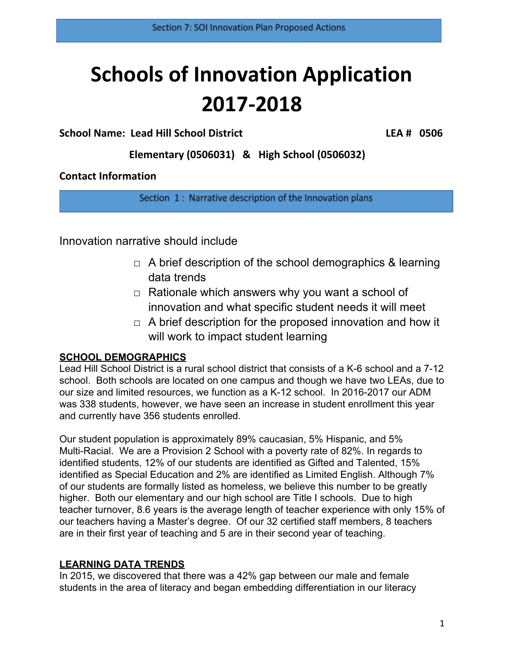# **Schools of Innovation Application 2017-2018**

## **School Name: Lead Hill School District LEA # 0506**

**Elementary (0506031) & High School (0506032)**

## **Contact Information**

Section 1: Narrative description of the Innovation plans

Innovation narrative should include

- $\Box$  A brief description of the school demographics & learning data trends
- $\Box$  Rationale which answers why you want a school of innovation and what specific student needs it will meet
- $\Box$  A brief description for the proposed innovation and how it will work to impact student learning

## **SCHOOL DEMOGRAPHICS**

Lead Hill School District is a rural school district that consists of a K-6 school and a 7-12 school. Both schools are located on one campus and though we have two LEAs, due to our size and limited resources, we function as a K-12 school. In 2016-2017 our ADM was 338 students, however, we have seen an increase in student enrollment this year and currently have 356 students enrolled.

Our student population is approximately 89% caucasian, 5% Hispanic, and 5% Multi-Racial. We are a Provision 2 School with a poverty rate of 82%. In regards to identified students, 12% of our students are identified as Gifted and Talented, 15% identified as Special Education and 2% are identified as Limited English. Although 7% of our students are formally listed as homeless, we believe this number to be greatly higher. Both our elementary and our high school are Title I schools. Due to high teacher turnover, 8.6 years is the average length of teacher experience with only 15% of our teachers having a Master's degree. Of our 32 certified staff members, 8 teachers are in their first year of teaching and 5 are in their second year of teaching.

## **LEARNING DATA TRENDS**

In 2015, we discovered that there was a 42% gap between our male and female students in the area of literacy and began embedding differentiation in our literacy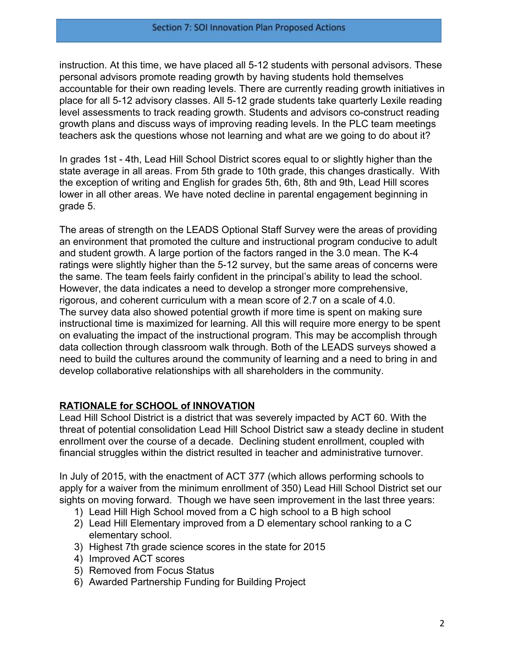instruction. At this time, we have placed all 5-12 students with personal advisors. These personal advisors promote reading growth by having students hold themselves accountable for their own reading levels. There are currently reading growth initiatives in place for all 5-12 advisory classes. All 5-12 grade students take quarterly Lexile reading level assessments to track reading growth. Students and advisors co-construct reading growth plans and discuss ways of improving reading levels. In the PLC team meetings teachers ask the questions whose not learning and what are we going to do about it?

In grades 1st - 4th, Lead Hill School District scores equal to or slightly higher than the state average in all areas. From 5th grade to 10th grade, this changes drastically. With the exception of writing and English for grades 5th, 6th, 8th and 9th, Lead Hill scores lower in all other areas. We have noted decline in parental engagement beginning in grade 5.

The areas of strength on the LEADS Optional Staff Survey were the areas of providing an environment that promoted the culture and instructional program conducive to adult and student growth. A large portion of the factors ranged in the 3.0 mean. The K-4 ratings were slightly higher than the 5-12 survey, but the same areas of concerns were the same. The team feels fairly confident in the principal's ability to lead the school. However, the data indicates a need to develop a stronger more comprehensive, rigorous, and coherent curriculum with a mean score of 2.7 on a scale of 4.0. The survey data also showed potential growth if more time is spent on making sure instructional time is maximized for learning. All this will require more energy to be spent on evaluating the impact of the instructional program. This may be accomplish through data collection through classroom walk through. Both of the LEADS surveys showed a need to build the cultures around the community of learning and a need to bring in and develop collaborative relationships with all shareholders in the community.

## **RATIONALE for SCHOOL of INNOVATION**

Lead Hill School District is a district that was severely impacted by ACT 60. With the threat of potential consolidation Lead Hill School District saw a steady decline in student enrollment over the course of a decade. Declining student enrollment, coupled with financial struggles within the district resulted in teacher and administrative turnover.

In July of 2015, with the enactment of ACT 377 (which allows performing schools to apply for a waiver from the minimum enrollment of 350) Lead Hill School District set our sights on moving forward. Though we have seen improvement in the last three years:

- 1) Lead Hill High School moved from a C high school to a B high school
- 2) Lead Hill Elementary improved from a D elementary school ranking to a C elementary school.
- 3) Highest 7th grade science scores in the state for 2015
- 4) Improved ACT scores
- 5) Removed from Focus Status
- 6) Awarded Partnership Funding for Building Project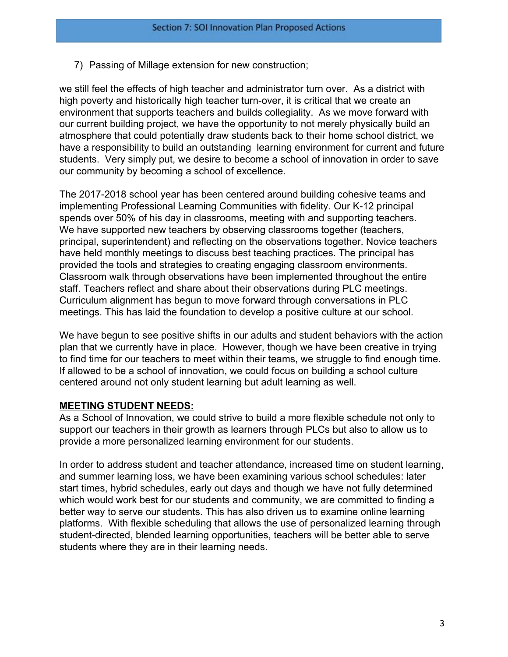7) Passing of Millage extension for new construction;

we still feel the effects of high teacher and administrator turn over. As a district with high poverty and historically high teacher turn-over, it is critical that we create an environment that supports teachers and builds collegiality. As we move forward with our current building project, we have the opportunity to not merely physically build an atmosphere that could potentially draw students back to their home school district, we have a responsibility to build an outstanding learning environment for current and future students. Very simply put, we desire to become a school of innovation in order to save our community by becoming a school of excellence.

The 2017-2018 school year has been centered around building cohesive teams and implementing Professional Learning Communities with fidelity. Our K-12 principal spends over 50% of his day in classrooms, meeting with and supporting teachers. We have supported new teachers by observing classrooms together (teachers, principal, superintendent) and reflecting on the observations together. Novice teachers have held monthly meetings to discuss best teaching practices. The principal has provided the tools and strategies to creating engaging classroom environments. Classroom walk through observations have been implemented throughout the entire staff. Teachers reflect and share about their observations during PLC meetings. Curriculum alignment has begun to move forward through conversations in PLC meetings. This has laid the foundation to develop a positive culture at our school.

We have begun to see positive shifts in our adults and student behaviors with the action plan that we currently have in place. However, though we have been creative in trying to find time for our teachers to meet within their teams, we struggle to find enough time. If allowed to be a school of innovation, we could focus on building a school culture centered around not only student learning but adult learning as well.

#### **MEETING STUDENT NEEDS:**

As a School of Innovation, we could strive to build a more flexible schedule not only to support our teachers in their growth as learners through PLCs but also to allow us to provide a more personalized learning environment for our students.

In order to address student and teacher attendance, increased time on student learning, and summer learning loss, we have been examining various school schedules: later start times, hybrid schedules, early out days and though we have not fully determined which would work best for our students and community, we are committed to finding a better way to serve our students. This has also driven us to examine online learning platforms. With flexible scheduling that allows the use of personalized learning through student-directed, blended learning opportunities, teachers will be better able to serve students where they are in their learning needs.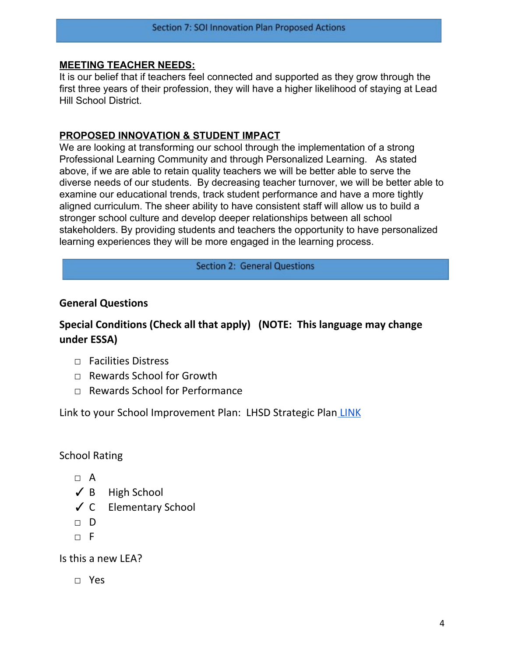#### **MEETING TEACHER NEEDS:**

It is our belief that if teachers feel connected and supported as they grow through the first three years of their profession, they will have a higher likelihood of staying at Lead Hill School District.

### **PROPOSED INNOVATION & STUDENT IMPACT**

We are looking at transforming our school through the implementation of a strong Professional Learning Community and through Personalized Learning. As stated above, if we are able to retain quality teachers we will be better able to serve the diverse needs of our students. By decreasing teacher turnover, we will be better able to examine our educational trends, track student performance and have a more tightly aligned curriculum. The sheer ability to have consistent staff will allow us to build a stronger school culture and develop deeper relationships between all school stakeholders. By providing students and teachers the opportunity to have personalized learning experiences they will be more engaged in the learning process.

#### **Section 2: General Questions**

## **General Questions**

## **Special Conditions (Check all that apply) (NOTE: This language may change under ESSA)**

- □ Facilities Distress
- □ Rewards School for Growth
- □ Rewards School for Performance

Link to your School Improvement Plan: LHSD Strategic Plan [LINK](https://docs.google.com/document/d/1h2nkRpbDVBdH680pLky8U1piUu_TVZOHy6A742UZZdM/edit)

## School Rating

- □ A
- $\angle$  B High School
- ✓ C Elementary School
- □ D
- □ F

Is this a new LEA?

□ Yes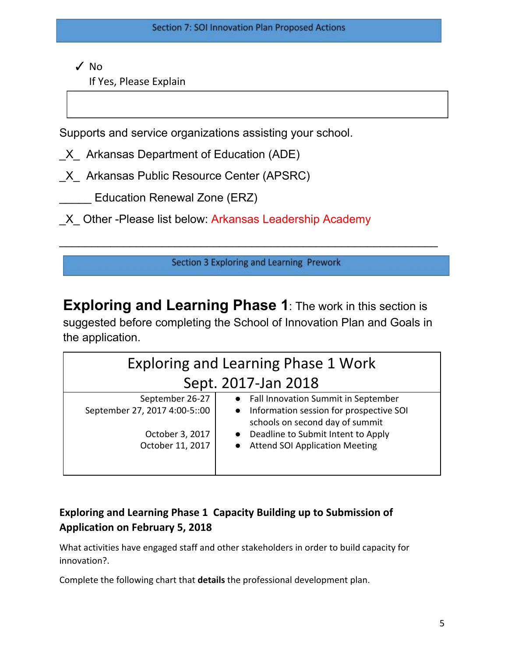✓ No

If Yes, Please Explain

Supports and service organizations assisting your school.

X Arkansas Department of Education (ADE)

X Arkansas Public Resource Center (APSRC)

Education Renewal Zone (ERZ)

\_X\_ Other -Please list below: Arkansas Leadership Academy

Section 3 Exploring and Learning Prework

\_\_\_\_\_\_\_\_\_\_\_\_\_\_\_\_\_\_\_\_\_\_\_\_\_\_\_\_\_\_\_\_\_\_\_\_\_\_\_\_\_\_\_\_\_\_\_\_\_\_\_\_\_\_\_\_\_\_\_

**Exploring and Learning Phase 1**: The work in this section is suggested before completing the School of Innovation Plan and Goals in the application.

| <b>Exploring and Learning Phase 1 Work</b> |                                                                              |  |  |
|--------------------------------------------|------------------------------------------------------------------------------|--|--|
| Sept. 2017-Jan 2018                        |                                                                              |  |  |
| September 26-27                            | • Fall Innovation Summit in September                                        |  |  |
| September 27, 2017 4:00-5::00              | • Information session for prospective SOI<br>schools on second day of summit |  |  |
| October 3, 2017                            | • Deadline to Submit Intent to Apply                                         |  |  |
| October 11, 2017                           | • Attend SOI Application Meeting                                             |  |  |
|                                            |                                                                              |  |  |

# **Exploring and Learning Phase 1 Capacity Building up to Submission of Application on February 5, 2018**

What activities have engaged staff and other stakeholders in order to build capacity for innovation?.

Complete the following chart that **details** the professional development plan.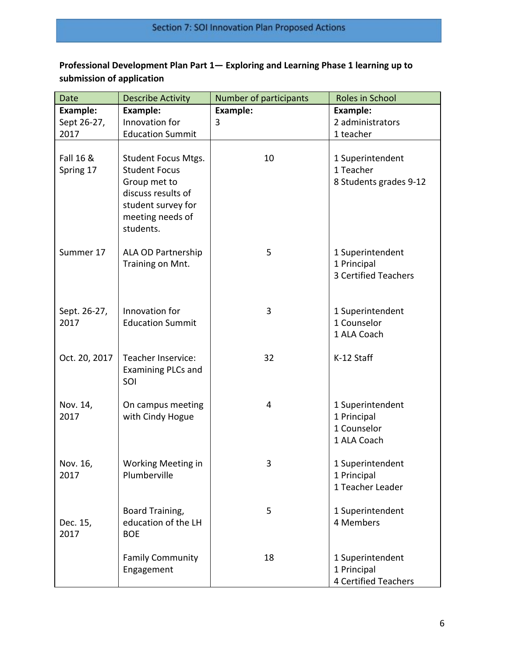# **Professional Development Plan Part 1— Exploring and Learning Phase 1 learning up to submission of application**

| <b>Date</b>            | <b>Describe Activity</b>                                                                                       | Number of participants | <b>Roles in School</b>                                         |
|------------------------|----------------------------------------------------------------------------------------------------------------|------------------------|----------------------------------------------------------------|
| <b>Example:</b>        | <b>Example:</b>                                                                                                | Example:               | <b>Example:</b>                                                |
| Sept 26-27,            | Innovation for                                                                                                 | 3                      | 2 administrators                                               |
| 2017                   | <b>Education Summit</b>                                                                                        |                        | 1 teacher                                                      |
| Fall 16 &<br>Spring 17 | <b>Student Focus Mtgs.</b><br><b>Student Focus</b><br>Group met to<br>discuss results of<br>student survey for | 10                     | 1 Superintendent<br>1 Teacher<br>8 Students grades 9-12        |
|                        | meeting needs of<br>students.                                                                                  |                        |                                                                |
| Summer 17              | ALA OD Partnership<br>Training on Mnt.                                                                         | 5                      | 1 Superintendent<br>1 Principal<br>3 Certified Teachers        |
| Sept. 26-27,<br>2017   | Innovation for<br><b>Education Summit</b>                                                                      | 3                      | 1 Superintendent<br>1 Counselor<br>1 ALA Coach                 |
| Oct. 20, 2017          | Teacher Inservice:<br><b>Examining PLCs and</b><br>SOI                                                         | 32                     | K-12 Staff                                                     |
| Nov. 14,<br>2017       | On campus meeting<br>with Cindy Hogue                                                                          | 4                      | 1 Superintendent<br>1 Principal<br>1 Counselor<br>1 ALA Coach  |
| Nov. 16,<br>2017       | Working Meeting in<br>Plumberville                                                                             | 3                      | 1 Superintendent<br>1 Principal<br>1 Teacher Leader            |
| Dec. 15,<br>2017       | Board Training,<br>education of the LH<br><b>BOE</b>                                                           | 5                      | 1 Superintendent<br>4 Members                                  |
|                        | <b>Family Community</b><br>Engagement                                                                          | 18                     | 1 Superintendent<br>1 Principal<br><b>4 Certified Teachers</b> |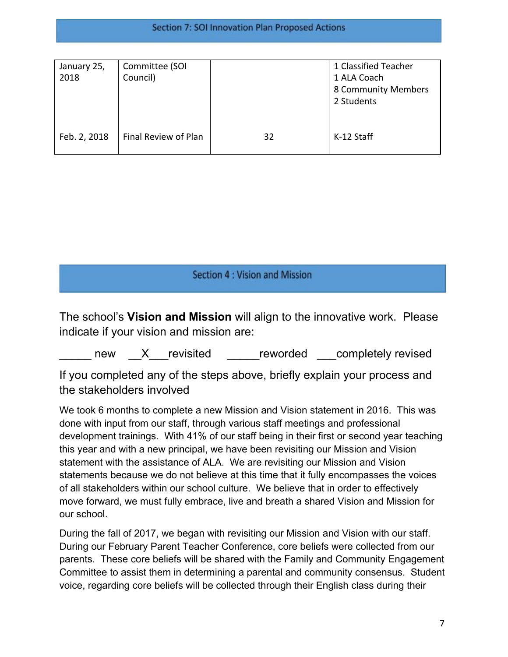| January 25,<br>2018 | Committee (SOI<br>Council) |    | 1 Classified Teacher<br>1 ALA Coach<br>8 Community Members<br>2 Students |
|---------------------|----------------------------|----|--------------------------------------------------------------------------|
| Feb. 2, 2018        | Final Review of Plan       | 32 | K-12 Staff                                                               |

# Section 4 : Vision and Mission

The school's **Vision and Mission** will align to the innovative work. Please indicate if your vision and mission are:

new X revisited reworded completely revised

If you completed any of the steps above, briefly explain your process and the stakeholders involved

We took 6 months to complete a new Mission and Vision statement in 2016. This was done with input from our staff, through various staff meetings and professional development trainings. With 41% of our staff being in their first or second year teaching this year and with a new principal, we have been revisiting our Mission and Vision statement with the assistance of ALA. We are revisiting our Mission and Vision statements because we do not believe at this time that it fully encompasses the voices of all stakeholders within our school culture. We believe that in order to effectively move forward, we must fully embrace, live and breath a shared Vision and Mission for our school.

During the fall of 2017, we began with revisiting our Mission and Vision with our staff. During our February Parent Teacher Conference, core beliefs were collected from our parents. These core beliefs will be shared with the Family and Community Engagement Committee to assist them in determining a parental and community consensus. Student voice, regarding core beliefs will be collected through their English class during their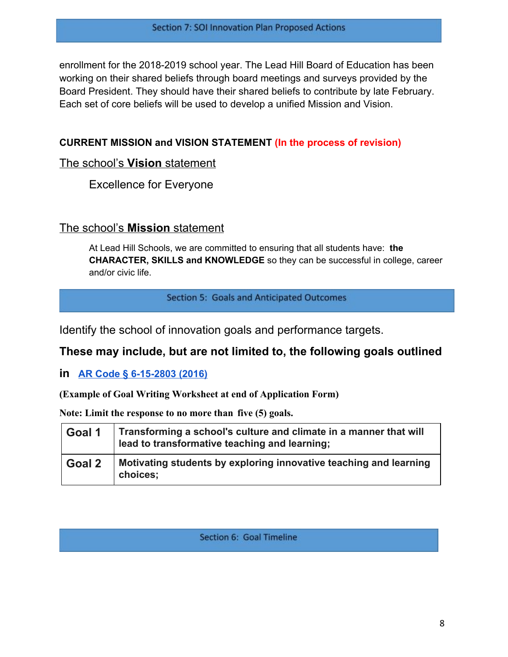enrollment for the 2018-2019 school year. The Lead Hill Board of Education has been working on their shared beliefs through board meetings and surveys provided by the Board President. They should have their shared beliefs to contribute by late February. Each set of core beliefs will be used to develop a unified Mission and Vision.

## **CURRENT MISSION and VISION STATEMENT (In the process of revision)**

## The school's **Vision** statement

Excellence for Everyone

## The school's **Mission** statement

At Lead Hill Schools, we are committed to ensuring that all students have: **the CHARACTER, SKILLS and KNOWLEDGE** so they can be successful in college, career and/or civic life.

#### Section 5: Goals and Anticipated Outcomes

Identify the school of innovation goals and performance targets.

## **These may include, but are not limited to, the following goals outlined**

**in [AR Code § 6-15-2803 \(2016\)](http://law.justia.com/codes/arkansas/2016/title-6/subtitle-2/chapter-15/subchapter-28/section-6-15-2803)**

**(Example of Goal Writing Worksheet at end of Application Form)**

**Note: Limit the response to no more than five (5) goals.**

| Goal 1 | Transforming a school's culture and climate in a manner that will<br>lead to transformative teaching and learning; |
|--------|--------------------------------------------------------------------------------------------------------------------|
| Goal 2 | Motivating students by exploring innovative teaching and learning<br>choices;                                      |

## Section 6: Goal Timeline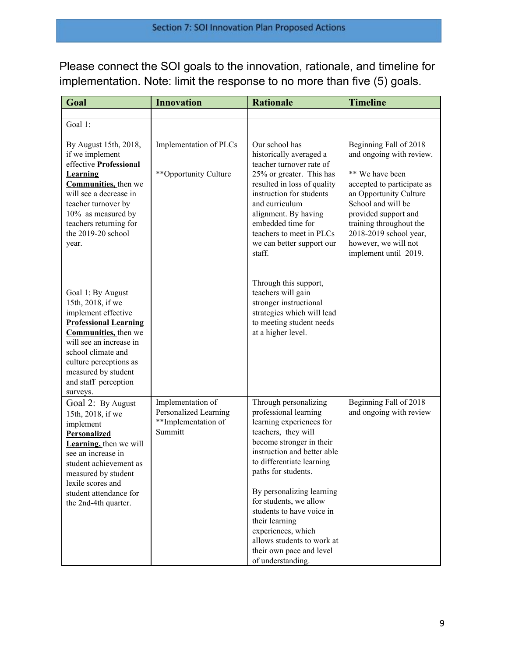Please connect the SOI goals to the innovation, rationale, and timeline for implementation. Note: limit the response to no more than five (5) goals.

| Goal                                                                                                                                                                                                                                                                | <b>Innovation</b>                                                            | <b>Rationale</b>                                                                                                                                                                                                      | <b>Timeline</b>                                                                                                                                                                                                             |
|---------------------------------------------------------------------------------------------------------------------------------------------------------------------------------------------------------------------------------------------------------------------|------------------------------------------------------------------------------|-----------------------------------------------------------------------------------------------------------------------------------------------------------------------------------------------------------------------|-----------------------------------------------------------------------------------------------------------------------------------------------------------------------------------------------------------------------------|
|                                                                                                                                                                                                                                                                     |                                                                              |                                                                                                                                                                                                                       |                                                                                                                                                                                                                             |
| Goal 1:                                                                                                                                                                                                                                                             |                                                                              |                                                                                                                                                                                                                       |                                                                                                                                                                                                                             |
| By August 15th, 2018,<br>if we implement<br>effective Professional                                                                                                                                                                                                  | Implementation of PLCs                                                       | Our school has<br>historically averaged a<br>teacher turnover rate of                                                                                                                                                 | Beginning Fall of 2018<br>and ongoing with review.                                                                                                                                                                          |
| <b>Learning</b><br><b>Communities</b> , then we<br>will see a decrease in<br>teacher turnover by<br>10% as measured by<br>teachers returning for<br>the 2019-20 school<br>year.                                                                                     | **Opportunity Culture                                                        | 25% or greater. This has<br>resulted in loss of quality<br>instruction for students<br>and curriculum<br>alignment. By having<br>embedded time for<br>teachers to meet in PLCs<br>we can better support our<br>staff. | ** We have been<br>accepted to participate as<br>an Opportunity Culture<br>School and will be<br>provided support and<br>training throughout the<br>2018-2019 school year,<br>however, we will not<br>implement until 2019. |
| Goal 1: By August<br>15th, 2018, if we<br>implement effective<br><b>Professional Learning</b><br><b>Communities</b> , then we<br>will see an increase in<br>school climate and<br>culture perceptions as<br>measured by student<br>and staff perception<br>surveys. |                                                                              | Through this support,<br>teachers will gain<br>stronger instructional<br>strategies which will lead<br>to meeting student needs<br>at a higher level.                                                                 |                                                                                                                                                                                                                             |
| Goal 2: By August<br>15th, 2018, if we<br>implement<br><b>Personalized</b><br>Learning, then we will<br>see an increase in<br>student achievement as<br>measured by student<br>lexile scores and                                                                    | Implementation of<br>Personalized Learning<br>**Implementation of<br>Summitt | Through personalizing<br>professional learning<br>learning experiences for<br>teachers, they will<br>become stronger in their<br>instruction and better able<br>to differentiate learning<br>paths for students.      | Beginning Fall of 2018<br>and ongoing with review                                                                                                                                                                           |
| student attendance for<br>the 2nd-4th quarter.                                                                                                                                                                                                                      |                                                                              | By personalizing learning<br>for students, we allow<br>students to have voice in<br>their learning<br>experiences, which<br>allows students to work at<br>their own pace and level<br>of understanding.               |                                                                                                                                                                                                                             |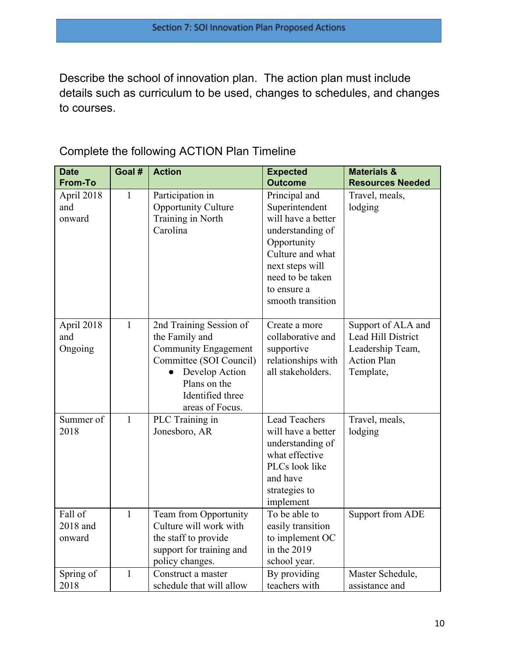Describe the school of innovation plan. The action plan must include details such as curriculum to be used, changes to schedules, and changes to courses.

| <b>Date</b>                   | Goal #       | <b>Action</b>                                                                                                                                                         | <b>Expected</b>                                                                                                                                                                         | <b>Materials &amp;</b>                                                                          |
|-------------------------------|--------------|-----------------------------------------------------------------------------------------------------------------------------------------------------------------------|-----------------------------------------------------------------------------------------------------------------------------------------------------------------------------------------|-------------------------------------------------------------------------------------------------|
| <b>From-To</b>                |              |                                                                                                                                                                       | <b>Outcome</b>                                                                                                                                                                          | <b>Resources Needed</b>                                                                         |
| April 2018<br>and<br>onward   | $\mathbf{1}$ | Participation in<br><b>Opportunity Culture</b><br>Training in North<br>Carolina                                                                                       | Principal and<br>Superintendent<br>will have a better<br>understanding of<br>Opportunity<br>Culture and what<br>next steps will<br>need to be taken<br>to ensure a<br>smooth transition | Travel, meals,<br>lodging                                                                       |
| April 2018<br>and<br>Ongoing  | $\mathbf{1}$ | 2nd Training Session of<br>the Family and<br>Community Engagement<br>Committee (SOI Council)<br>Develop Action<br>Plans on the<br>Identified three<br>areas of Focus. | Create a more<br>collaborative and<br>supportive<br>relationships with<br>all stakeholders.                                                                                             | Support of ALA and<br>Lead Hill District<br>Leadership Team,<br><b>Action Plan</b><br>Template, |
| Summer of<br>2018             | $\mathbf{1}$ | PLC Training in<br>Jonesboro, AR                                                                                                                                      | <b>Lead Teachers</b><br>will have a better<br>understanding of<br>what effective<br>PLCs look like<br>and have<br>strategies to<br>implement                                            | Travel, meals,<br>lodging                                                                       |
| Fall of<br>2018 and<br>onward | $\mathbf{1}$ | Team from Opportunity<br>Culture will work with<br>the staff to provide<br>support for training and<br>policy changes.                                                | To be able to<br>easily transition<br>to implement OC<br>in the $2019$<br>school year.                                                                                                  | Support from ADE                                                                                |
| Spring of<br>2018             | $\mathbf{1}$ | Construct a master<br>schedule that will allow                                                                                                                        | By providing<br>teachers with                                                                                                                                                           | Master Schedule,<br>assistance and                                                              |

Complete the following ACTION Plan Timeline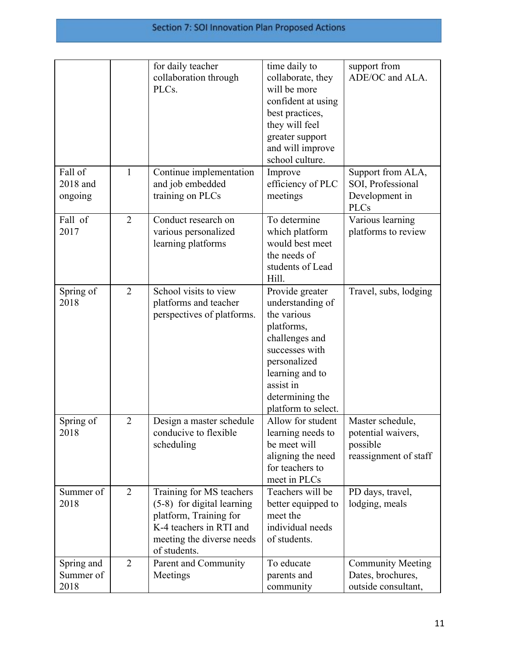|                                 |                | for daily teacher<br>collaboration through<br>PLCs.                                                                                                        | time daily to<br>collaborate, they<br>will be more<br>confident at using<br>best practices,<br>they will feel<br>greater support<br>and will improve<br>school culture.                        | support from<br>ADE/OC and ALA.                                             |
|---------------------------------|----------------|------------------------------------------------------------------------------------------------------------------------------------------------------------|------------------------------------------------------------------------------------------------------------------------------------------------------------------------------------------------|-----------------------------------------------------------------------------|
| Fall of<br>2018 and<br>ongoing  | $\mathbf{1}$   | Continue implementation<br>and job embedded<br>training on PLCs                                                                                            | Improve<br>efficiency of PLC<br>meetings                                                                                                                                                       | Support from ALA,<br>SOI, Professional<br>Development in<br><b>PLCs</b>     |
| Fall of<br>2017                 | $\overline{2}$ | Conduct research on<br>various personalized<br>learning platforms                                                                                          | To determine<br>which platform<br>would best meet<br>the needs of<br>students of Lead<br>Hill.                                                                                                 | Various learning<br>platforms to review                                     |
| Spring of<br>2018               | $\overline{2}$ | School visits to view<br>platforms and teacher<br>perspectives of platforms.                                                                               | Provide greater<br>understanding of<br>the various<br>platforms,<br>challenges and<br>successes with<br>personalized<br>learning and to<br>assist in<br>determining the<br>platform to select. | Travel, subs, lodging                                                       |
| Spring of<br>2018               | $\overline{2}$ | Design a master schedule<br>conducive to flexible<br>scheduling                                                                                            | Allow for student<br>learning needs to<br>be meet will<br>aligning the need<br>for teachers to<br>meet in PLCs                                                                                 | Master schedule,<br>potential waivers,<br>possible<br>reassignment of staff |
| Summer of<br>2018               | $\overline{2}$ | Training for MS teachers<br>$(5-8)$ for digital learning<br>platform, Training for<br>K-4 teachers in RTI and<br>meeting the diverse needs<br>of students. | Teachers will be<br>better equipped to<br>meet the<br>individual needs<br>of students.                                                                                                         | PD days, travel,<br>lodging, meals                                          |
| Spring and<br>Summer of<br>2018 | $\overline{2}$ | Parent and Community<br>Meetings                                                                                                                           | To educate<br>parents and<br>community                                                                                                                                                         | <b>Community Meeting</b><br>Dates, brochures,<br>outside consultant,        |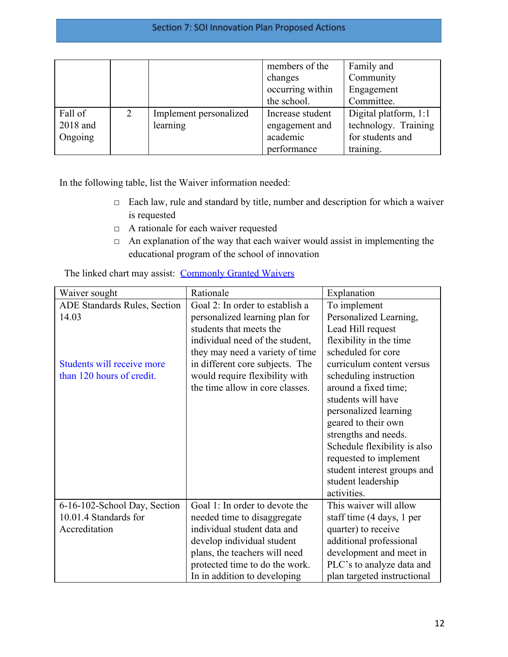|          |   |                        | members of the<br>changes | Family and<br>Community |
|----------|---|------------------------|---------------------------|-------------------------|
|          |   |                        | occurring within          | Engagement              |
|          |   |                        | the school.               | Committee.              |
| Fall of  | 2 | Implement personalized | Increase student          | Digital platform, 1:1   |
| 2018 and |   | learning               | engagement and            | technology. Training    |
| Ongoing  |   |                        | academic                  | for students and        |
|          |   |                        | performance               | training.               |

In the following table, list the Waiver information needed:

- □ Each law, rule and standard by title, number and description for which a waiver is requested
- □ A rationale for each waiver requested
- $\Box$  An explanation of the way that each waiver would assist in implementing the educational program of the school of innovation

| Waiver sought                | Rationale                       | Explanation                  |
|------------------------------|---------------------------------|------------------------------|
| ADE Standards Rules, Section | Goal 2: In order to establish a | To implement                 |
| 14.03                        | personalized learning plan for  | Personalized Learning,       |
|                              | students that meets the         | Lead Hill request            |
|                              | individual need of the student, | flexibility in the time      |
|                              | they may need a variety of time | scheduled for core           |
| Students will receive more   | in different core subjects. The | curriculum content versus    |
| than 120 hours of credit.    | would require flexibility with  | scheduling instruction       |
|                              | the time allow in core classes. | around a fixed time;         |
|                              |                                 | students will have           |
|                              |                                 | personalized learning        |
|                              |                                 | geared to their own          |
|                              |                                 | strengths and needs.         |
|                              |                                 | Schedule flexibility is also |
|                              |                                 | requested to implement       |
|                              |                                 | student interest groups and  |
|                              |                                 | student leadership           |
|                              |                                 | activities.                  |
| 6-16-102-School Day, Section | Goal 1: In order to devote the  | This waiver will allow       |
| 10.01.4 Standards for        | needed time to disaggregate     | staff time (4 days, 1 per    |
| Accreditation                | individual student data and     | quarter) to receive          |
|                              | develop individual student      | additional professional      |
|                              | plans, the teachers will need   | development and meet in      |
|                              | protected time to do the work.  | PLC's to analyze data and    |
|                              | In in addition to developing    | plan targeted instructional  |

The linked chart may assist: [Commonly Granted Waivers](http://www.arkansased.gov/public/userfiles/Learning_Services/Charter%20and%20Home%20School/Charter%20School-Division%20of%20Learning%20Services/Applications/Waiver_Document.pdf)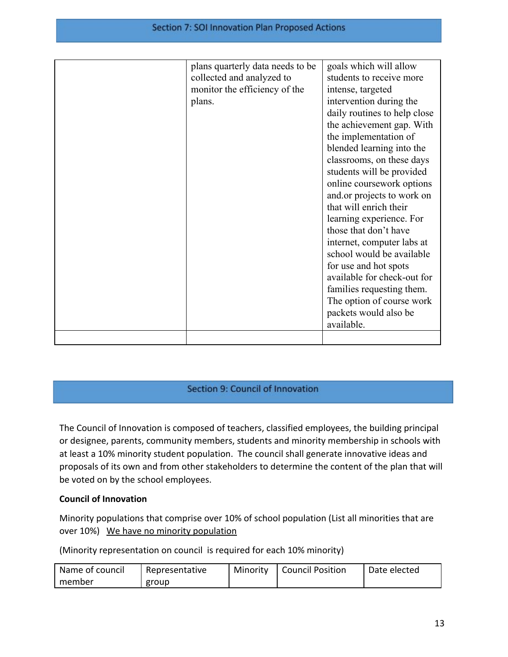| plans quarterly data needs to be | goals which will allow       |
|----------------------------------|------------------------------|
| collected and analyzed to        | students to receive more     |
| monitor the efficiency of the    | intense, targeted            |
| plans.                           | intervention during the      |
|                                  | daily routines to help close |
|                                  | the achievement gap. With    |
|                                  | the implementation of        |
|                                  | blended learning into the    |
|                                  | classrooms, on these days    |
|                                  | students will be provided    |
|                                  | online coursework options    |
|                                  | and or projects to work on   |
|                                  | that will enrich their       |
|                                  | learning experience. For     |
|                                  | those that don't have        |
|                                  | internet, computer labs at   |
|                                  | school would be available    |
|                                  | for use and hot spots        |
|                                  | available for check-out for  |
|                                  | families requesting them.    |
|                                  | The option of course work    |
|                                  | packets would also be        |
|                                  | available.                   |
|                                  |                              |

## Section 9: Council of Innovation

The Council of Innovation is composed of teachers, classified employees, the building principal or designee, parents, community members, students and minority membership in schools with at least a 10% minority student population. The council shall generate innovative ideas and proposals of its own and from other stakeholders to determine the content of the plan that will be voted on by the school employees.

#### **Council of Innovation**

Minority populations that comprise over 10% of school population (List all minorities that are over 10%) We have no minority population

(Minority representation on council is required for each 10% minority)

| Name of council | Representative | Minority | <b>Council Position</b> | Date elected |
|-----------------|----------------|----------|-------------------------|--------------|
| member          | group          |          |                         |              |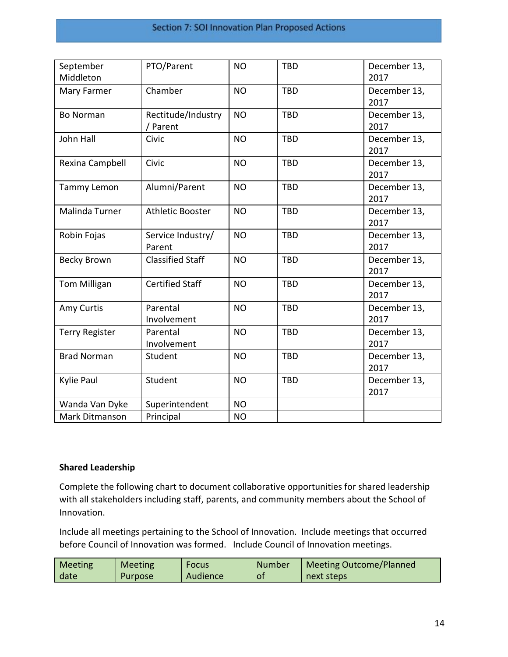| September<br>Middleton | PTO/Parent              | <b>NO</b> | <b>TBD</b> | December 13,<br>2017 |
|------------------------|-------------------------|-----------|------------|----------------------|
|                        |                         |           |            |                      |
| Mary Farmer            | Chamber                 | <b>NO</b> | <b>TBD</b> | December 13,         |
|                        |                         |           |            | 2017                 |
| <b>Bo Norman</b>       | Rectitude/Industry      | <b>NO</b> | <b>TBD</b> | December 13,         |
|                        | / Parent                |           |            | 2017                 |
| John Hall              | Civic                   | <b>NO</b> | <b>TBD</b> | December 13,         |
|                        |                         |           |            | 2017                 |
| Rexina Campbell        | Civic                   | <b>NO</b> | <b>TBD</b> | December 13,         |
|                        |                         |           |            | 2017                 |
| Tammy Lemon            | Alumni/Parent           | <b>NO</b> | <b>TBD</b> | December 13,         |
|                        |                         |           |            | 2017                 |
| <b>Malinda Turner</b>  | <b>Athletic Booster</b> | <b>NO</b> | <b>TBD</b> | December 13,         |
|                        |                         |           |            | 2017                 |
| Robin Fojas            | Service Industry/       | <b>NO</b> | <b>TBD</b> | December 13,         |
|                        | Parent                  |           |            | 2017                 |
| <b>Becky Brown</b>     | <b>Classified Staff</b> | <b>NO</b> | <b>TBD</b> | December 13,         |
|                        |                         |           |            | 2017                 |
|                        |                         |           |            |                      |
| <b>Tom Milligan</b>    | <b>Certified Staff</b>  | <b>NO</b> | <b>TBD</b> | December 13,         |
|                        |                         |           |            | 2017                 |
| Amy Curtis             | Parental                | <b>NO</b> | <b>TBD</b> | December 13,         |
|                        | Involvement             |           |            | 2017                 |
| <b>Terry Register</b>  | Parental                | <b>NO</b> | <b>TBD</b> | December 13,         |
|                        | Involvement             |           |            | 2017                 |
| <b>Brad Norman</b>     | Student                 | <b>NO</b> | <b>TBD</b> | December 13,         |
|                        |                         |           |            | 2017                 |
| Kylie Paul             | Student                 | <b>NO</b> | <b>TBD</b> | December 13,         |
|                        |                         |           |            | 2017                 |
| Wanda Van Dyke         | Superintendent          | <b>NO</b> |            |                      |
| Mark Ditmanson         | Principal               | <b>NO</b> |            |                      |

#### **Shared Leadership**

Complete the following chart to document collaborative opportunities for shared leadership with all stakeholders including staff, parents, and community members about the School of Innovation.

Include all meetings pertaining to the School of Innovation. Include meetings that occurred before Council of Innovation was formed. Include Council of Innovation meetings.

| <b>Meeting</b> | <b>Meeting</b> | <b>Focus</b> | <b>Number</b> | <b>Meeting Outcome/Planned</b> |
|----------------|----------------|--------------|---------------|--------------------------------|
| date           | Purpose        | Audience     | O1            | next steps                     |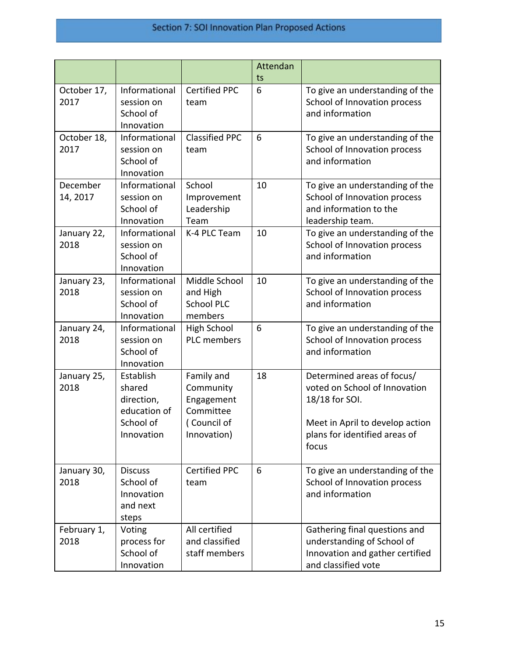# Section 7: SOI Innovation Plan Proposed Actions

|                      |                                                                              |                                                                                  | Attendan<br>ts |                                                                                                                                                            |
|----------------------|------------------------------------------------------------------------------|----------------------------------------------------------------------------------|----------------|------------------------------------------------------------------------------------------------------------------------------------------------------------|
| October 17,<br>2017  | Informational<br>session on<br>School of<br>Innovation                       | <b>Certified PPC</b><br>team                                                     | 6              | To give an understanding of the<br>School of Innovation process<br>and information                                                                         |
| October 18,<br>2017  | Informational<br>session on<br>School of<br>Innovation                       | <b>Classified PPC</b><br>team                                                    | 6              | To give an understanding of the<br>School of Innovation process<br>and information                                                                         |
| December<br>14, 2017 | Informational<br>session on<br>School of<br>Innovation                       | School<br>Improvement<br>Leadership<br>Team                                      | 10             | To give an understanding of the<br>School of Innovation process<br>and information to the<br>leadership team.                                              |
| January 22,<br>2018  | Informational<br>session on<br>School of<br>Innovation                       | K-4 PLC Team                                                                     | 10             | To give an understanding of the<br>School of Innovation process<br>and information                                                                         |
| January 23,<br>2018  | Informational<br>session on<br>School of<br>Innovation                       | Middle School<br>and High<br><b>School PLC</b><br>members                        | 10             | To give an understanding of the<br>School of Innovation process<br>and information                                                                         |
| January 24,<br>2018  | Informational<br>session on<br>School of<br>Innovation                       | <b>High School</b><br><b>PLC</b> members                                         | 6              | To give an understanding of the<br>School of Innovation process<br>and information                                                                         |
| January 25,<br>2018  | Establish<br>shared<br>direction,<br>education of<br>School of<br>Innovation | Family and<br>Community<br>Engagement<br>Committee<br>(Council of<br>Innovation) | 18             | Determined areas of focus/<br>voted on School of Innovation<br>18/18 for SOI.<br>Meet in April to develop action<br>plans for identified areas of<br>focus |
| January 30,<br>2018  | <b>Discuss</b><br>School of<br>Innovation<br>and next<br>steps               | <b>Certified PPC</b><br>team                                                     | 6              | To give an understanding of the<br>School of Innovation process<br>and information                                                                         |
| February 1,<br>2018  | Voting<br>process for<br>School of<br>Innovation                             | All certified<br>and classified<br>staff members                                 |                | Gathering final questions and<br>understanding of School of<br>Innovation and gather certified<br>and classified vote                                      |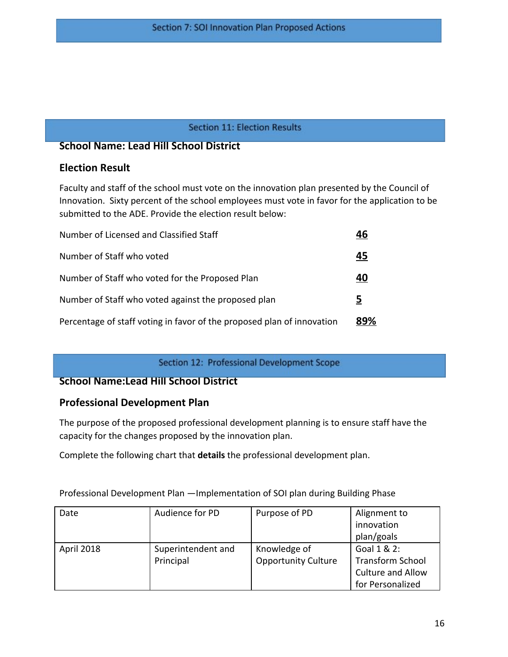#### **Section 11: Election Results**

## **School Name: Lead Hill School District**

## **Election Result**

Faculty and staff of the school must vote on the innovation plan presented by the Council of Innovation. Sixty percent of the school employees must vote in favor for the application to be submitted to the ADE. Provide the election result below:

| Number of Licensed and Classified Staff                                | 46  |
|------------------------------------------------------------------------|-----|
| Number of Staff who voted                                              | 45  |
| Number of Staff who voted for the Proposed Plan                        | 40  |
| Number of Staff who voted against the proposed plan                    | 5   |
| Percentage of staff voting in favor of the proposed plan of innovation | 89% |

Section 12: Professional Development Scope

## **School Name:Lead Hill School District**

## **Professional Development Plan**

The purpose of the proposed professional development planning is to ensure staff have the capacity for the changes proposed by the innovation plan.

Complete the following chart that **details** the professional development plan.

Professional Development Plan —Implementation of SOI plan during Building Phase

| Date       | Audience for PD    | Purpose of PD              | Alignment to             |
|------------|--------------------|----------------------------|--------------------------|
|            |                    |                            | innovation               |
|            |                    |                            | plan/goals               |
| April 2018 | Superintendent and | Knowledge of               | Goal 1 & 2:              |
|            | Principal          | <b>Opportunity Culture</b> | <b>Transform School</b>  |
|            |                    |                            | <b>Culture and Allow</b> |
|            |                    |                            | for Personalized         |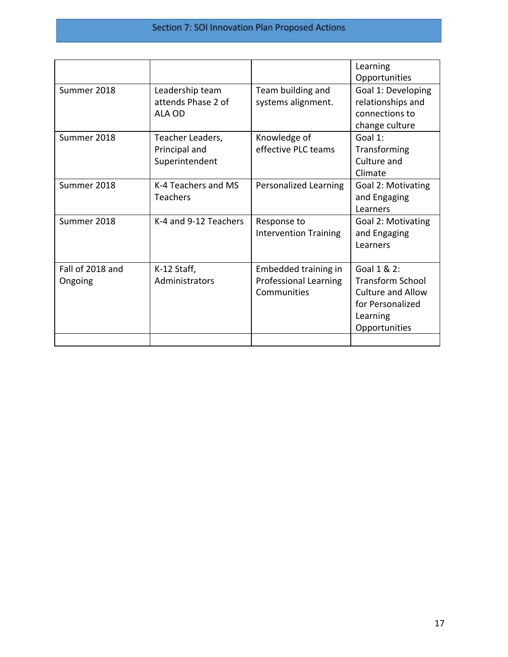# Section 7: SOI Innovation Plan Proposed Actions

|                             |                                                     |                                                                     | Learning<br>Opportunities                                                                                    |
|-----------------------------|-----------------------------------------------------|---------------------------------------------------------------------|--------------------------------------------------------------------------------------------------------------|
| Summer 2018                 | Leadership team<br>attends Phase 2 of<br>ALA OD     | Team building and<br>systems alignment.                             | Goal 1: Developing<br>relationships and<br>connections to<br>change culture                                  |
| Summer 2018                 | Teacher Leaders,<br>Principal and<br>Superintendent | Knowledge of<br>effective PLC teams                                 | Goal 1:<br>Transforming<br>Culture and<br>Climate                                                            |
| Summer 2018                 | K-4 Teachers and MS<br><b>Teachers</b>              | Personalized Learning                                               | Goal 2: Motivating<br>and Engaging<br>Learners                                                               |
| Summer 2018                 | K-4 and 9-12 Teachers                               | Response to<br><b>Intervention Training</b>                         | Goal 2: Motivating<br>and Engaging<br>Learners                                                               |
| Fall of 2018 and<br>Ongoing | K-12 Staff,<br>Administrators                       | Embedded training in<br><b>Professional Learning</b><br>Communities | Goal 1 & 2:<br><b>Transform School</b><br>Culture and Allow<br>for Personalized<br>Learning<br>Opportunities |
|                             |                                                     |                                                                     |                                                                                                              |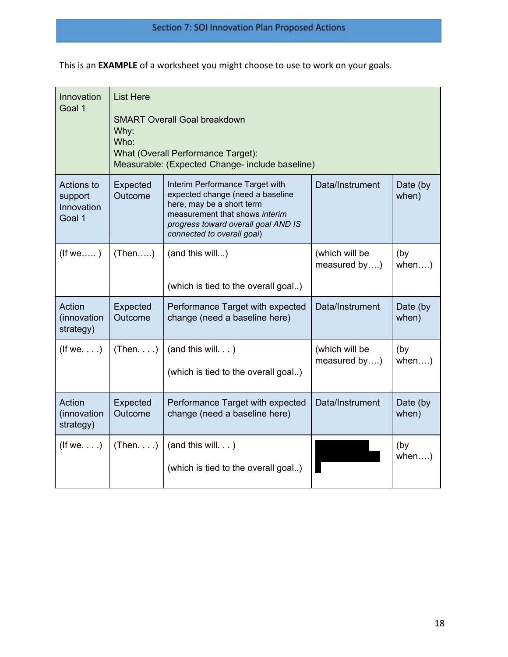This is an **EXAMPLE** of a worksheet you might choose to use to work on your goals.

| Innovation<br>Goal 1                          | <b>List Here</b><br><b>SMART Overall Goal breakdown</b><br>Why:<br>Who:<br>What (Overall Performance Target):<br>Measurable: (Expected Change- include baseline) |                                                                                                                                                                                                         |                                |                   |  |
|-----------------------------------------------|------------------------------------------------------------------------------------------------------------------------------------------------------------------|---------------------------------------------------------------------------------------------------------------------------------------------------------------------------------------------------------|--------------------------------|-------------------|--|
| Actions to<br>support<br>Innovation<br>Goal 1 | Expected<br>Outcome                                                                                                                                              | Interim Performance Target with<br>expected change (need a baseline<br>here, may be a short term<br>measurement that shows interim<br>progress toward overall goal AND IS<br>connected to overall goal) | Data/Instrument                | Date (by<br>when) |  |
| $($ f we $\ldots$ )                           | (Then)                                                                                                                                                           | (and this will)<br>(which is tied to the overall goal)                                                                                                                                                  | (which will be<br>measured by) | (by<br>when)      |  |
| Action<br>(innovation<br>strategy)            | Expected<br>Outcome                                                                                                                                              | Performance Target with expected<br>change (need a baseline here)                                                                                                                                       | Data/Instrument                | Date (by<br>when) |  |
| $($ f we $\ldots)$                            | (Then)                                                                                                                                                           | (and this will. $\ldots$ )<br>(which is tied to the overall goal)                                                                                                                                       | (which will be<br>measured by) | (by<br>when)      |  |
| Action<br>(innovation<br>strategy)            | Expected<br>Outcome                                                                                                                                              | Performance Target with expected<br>change (need a baseline here)                                                                                                                                       | Data/Instrument                | Date (by<br>when) |  |
| $($ lf we $\ldots)$                           | (Then)                                                                                                                                                           | (and this will. $\ldots$ )<br>(which is tied to the overall goal)                                                                                                                                       |                                | (by<br>when)      |  |